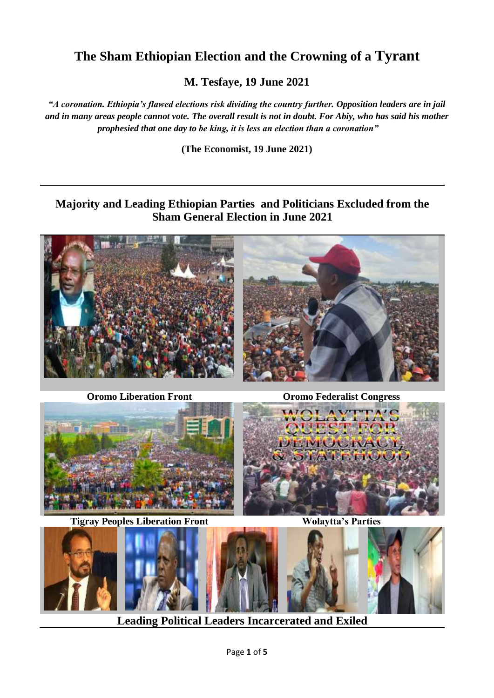## **The Sham Ethiopian Election and the Crowning of a Tyrant**

**M. Tesfaye, 19 June 2021**

*"A coronation. Ethiopia's flawed elections risk dividing the country further. Opposition leaders are in jail and in many areas people cannot vote. The overall result is not in doubt. For Abiy, who has said his mother prophesied that one day to be king, it is less an election than a coronation"*

**(The Economist, 19 June 2021)**

## **Majority and Leading Ethiopian Parties and Politicians Excluded from the Sham General Election in June 2021**



**Oromo Liberation Front Oromo Federalist Congress**



**Tigray Peoples Liberation Front Wolaytta's Parties**



**Leading Political Leaders Incarcerated and Exiled**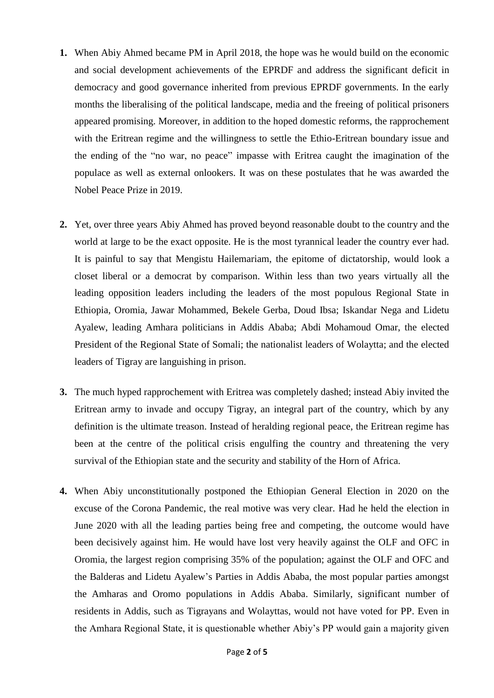- **1.** When Abiy Ahmed became PM in April 2018, the hope was he would build on the economic and social development achievements of the EPRDF and address the significant deficit in democracy and good governance inherited from previous EPRDF governments. In the early months the liberalising of the political landscape, media and the freeing of political prisoners appeared promising. Moreover, in addition to the hoped domestic reforms, the rapprochement with the Eritrean regime and the willingness to settle the Ethio-Eritrean boundary issue and the ending of the "no war, no peace" impasse with Eritrea caught the imagination of the populace as well as external onlookers. It was on these postulates that he was awarded the Nobel Peace Prize in 2019.
- **2.** Yet, over three years Abiy Ahmed has proved beyond reasonable doubt to the country and the world at large to be the exact opposite. He is the most tyrannical leader the country ever had. It is painful to say that Mengistu Hailemariam, the epitome of dictatorship, would look a closet liberal or a democrat by comparison. Within less than two years virtually all the leading opposition leaders including the leaders of the most populous Regional State in Ethiopia, Oromia, Jawar Mohammed, Bekele Gerba, Doud Ibsa; Iskandar Nega and Lidetu Ayalew, leading Amhara politicians in Addis Ababa; Abdi Mohamoud Omar, the elected President of the Regional State of Somali; the nationalist leaders of Wolaytta; and the elected leaders of Tigray are languishing in prison.
- **3.** The much hyped rapprochement with Eritrea was completely dashed; instead Abiy invited the Eritrean army to invade and occupy Tigray, an integral part of the country, which by any definition is the ultimate treason. Instead of heralding regional peace, the Eritrean regime has been at the centre of the political crisis engulfing the country and threatening the very survival of the Ethiopian state and the security and stability of the Horn of Africa.
- **4.** When Abiy unconstitutionally postponed the Ethiopian General Election in 2020 on the excuse of the Corona Pandemic, the real motive was very clear. Had he held the election in June 2020 with all the leading parties being free and competing, the outcome would have been decisively against him. He would have lost very heavily against the OLF and OFC in Oromia, the largest region comprising 35% of the population; against the OLF and OFC and the Balderas and Lidetu Ayalew's Parties in Addis Ababa, the most popular parties amongst the Amharas and Oromo populations in Addis Ababa. Similarly, significant number of residents in Addis, such as Tigrayans and Wolayttas, would not have voted for PP. Even in the Amhara Regional State, it is questionable whether Abiy's PP would gain a majority given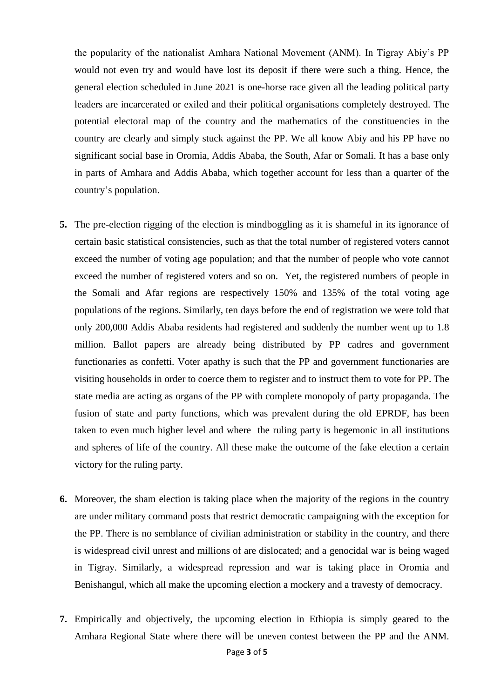the popularity of the nationalist Amhara National Movement (ANM). In Tigray Abiy's PP would not even try and would have lost its deposit if there were such a thing. Hence, the general election scheduled in June 2021 is one-horse race given all the leading political party leaders are incarcerated or exiled and their political organisations completely destroyed. The potential electoral map of the country and the mathematics of the constituencies in the country are clearly and simply stuck against the PP. We all know Abiy and his PP have no significant social base in Oromia, Addis Ababa, the South, Afar or Somali. It has a base only in parts of Amhara and Addis Ababa, which together account for less than a quarter of the country's population.

- **5.** The pre-election rigging of the election is mindboggling as it is shameful in its ignorance of certain basic statistical consistencies, such as that the total number of registered voters cannot exceed the number of voting age population; and that the number of people who vote cannot exceed the number of registered voters and so on. Yet, the registered numbers of people in the Somali and Afar regions are respectively 150% and 135% of the total voting age populations of the regions. Similarly, ten days before the end of registration we were told that only 200,000 Addis Ababa residents had registered and suddenly the number went up to 1.8 million. Ballot papers are already being distributed by PP cadres and government functionaries as confetti. Voter apathy is such that the PP and government functionaries are visiting households in order to coerce them to register and to instruct them to vote for PP. The state media are acting as organs of the PP with complete monopoly of party propaganda. The fusion of state and party functions, which was prevalent during the old EPRDF, has been taken to even much higher level and where the ruling party is hegemonic in all institutions and spheres of life of the country. All these make the outcome of the fake election a certain victory for the ruling party.
- **6.** Moreover, the sham election is taking place when the majority of the regions in the country are under military command posts that restrict democratic campaigning with the exception for the PP. There is no semblance of civilian administration or stability in the country, and there is widespread civil unrest and millions of are dislocated; and a genocidal war is being waged in Tigray. Similarly, a widespread repression and war is taking place in Oromia and Benishangul, which all make the upcoming election a mockery and a travesty of democracy.
- **7.** Empirically and objectively, the upcoming election in Ethiopia is simply geared to the Amhara Regional State where there will be uneven contest between the PP and the ANM.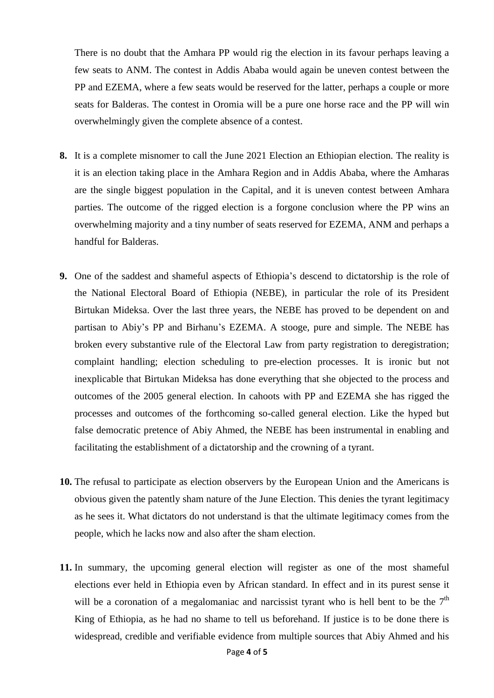There is no doubt that the Amhara PP would rig the election in its favour perhaps leaving a few seats to ANM. The contest in Addis Ababa would again be uneven contest between the PP and EZEMA, where a few seats would be reserved for the latter, perhaps a couple or more seats for Balderas. The contest in Oromia will be a pure one horse race and the PP will win overwhelmingly given the complete absence of a contest.

- **8.** It is a complete misnomer to call the June 2021 Election an Ethiopian election. The reality is it is an election taking place in the Amhara Region and in Addis Ababa, where the Amharas are the single biggest population in the Capital, and it is uneven contest between Amhara parties. The outcome of the rigged election is a forgone conclusion where the PP wins an overwhelming majority and a tiny number of seats reserved for EZEMA, ANM and perhaps a handful for Balderas.
- **9.** One of the saddest and shameful aspects of Ethiopia's descend to dictatorship is the role of the National Electoral Board of Ethiopia (NEBE), in particular the role of its President Birtukan Mideksa. Over the last three years, the NEBE has proved to be dependent on and partisan to Abiy's PP and Birhanu's EZEMA. A stooge, pure and simple. The NEBE has broken every substantive rule of the Electoral Law from party registration to deregistration; complaint handling; election scheduling to pre-election processes. It is ironic but not inexplicable that Birtukan Mideksa has done everything that she objected to the process and outcomes of the 2005 general election. In cahoots with PP and EZEMA she has rigged the processes and outcomes of the forthcoming so-called general election. Like the hyped but false democratic pretence of Abiy Ahmed, the NEBE has been instrumental in enabling and facilitating the establishment of a dictatorship and the crowning of a tyrant.
- **10.** The refusal to participate as election observers by the European Union and the Americans is obvious given the patently sham nature of the June Election. This denies the tyrant legitimacy as he sees it. What dictators do not understand is that the ultimate legitimacy comes from the people, which he lacks now and also after the sham election.
- **11.** In summary, the upcoming general election will register as one of the most shameful elections ever held in Ethiopia even by African standard. In effect and in its purest sense it will be a coronation of a megalomaniac and narcissist tyrant who is hell bent to be the  $7<sup>th</sup>$ King of Ethiopia, as he had no shame to tell us beforehand. If justice is to be done there is widespread, credible and verifiable evidence from multiple sources that Abiy Ahmed and his